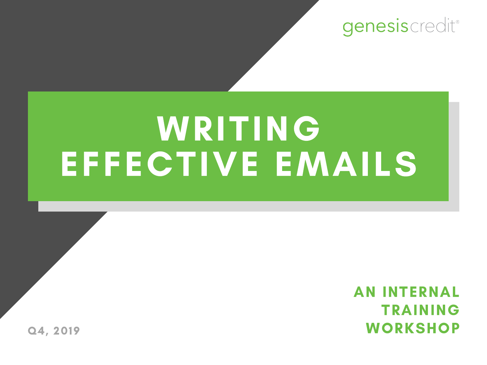genesiscredit®

# WRITING EFFECTIVE EMAILS

AN INTERNAL TRAINING Q4, 2019 WORKSHOP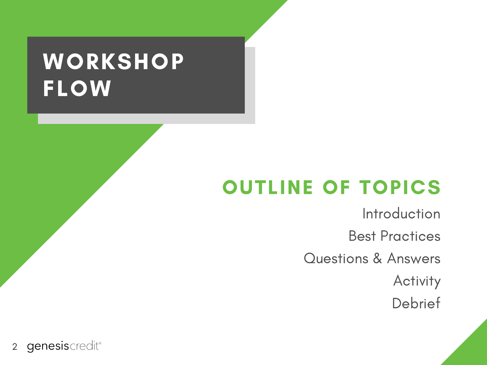# **WORKSHOP** FLOW

#### OUTLINE OF TOPICS

Introduction Best Practices Questions & Answers Activity Debrief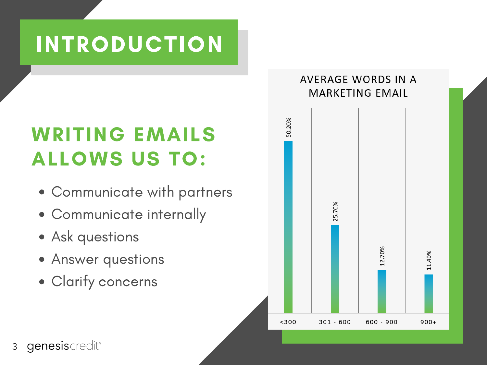### INTRODUCTION

#### WRITING EMAILS ALLOWS US TO:

- Communicate with partners
- Communicate internally
- Ask questions
- Answer questions
- Clarify concerns

#### AVERAGE WORDS IN A **MARKETING EMAIL**

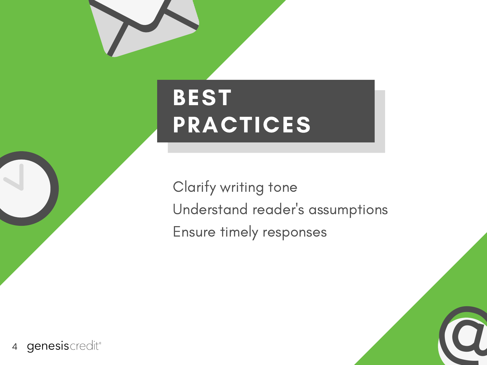# BEST PRACTICES

Clarify writing tone Understand reader ' s assumptions Ensure timely responses

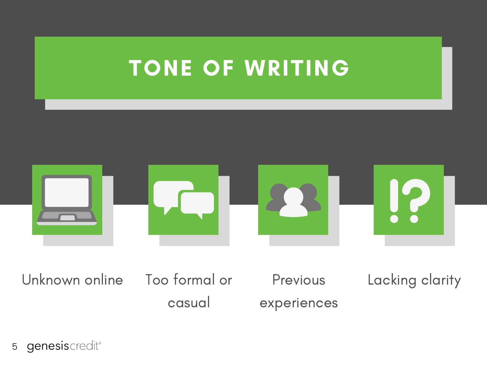### TONE OF WRITING



Unknown online Too formal or

casual

Previous experiences

Lacking clarity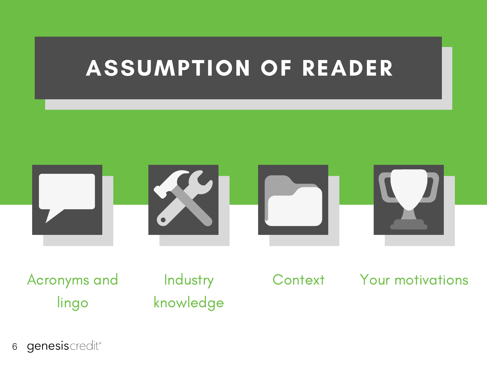### ASSUMPTION OF READER



Acronyms and lingo

**Industry** knowledge

Context Your motivations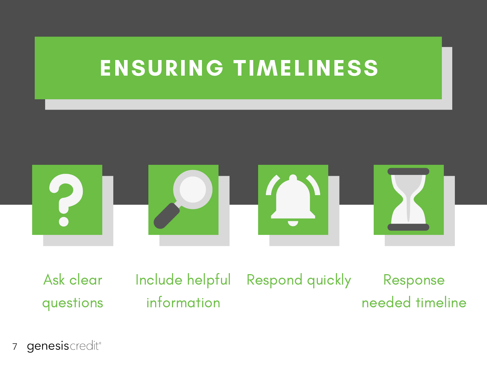### ENSURING TIMELINESS



Ask clear questions Include helpful information

Respond quickly Response needed timeline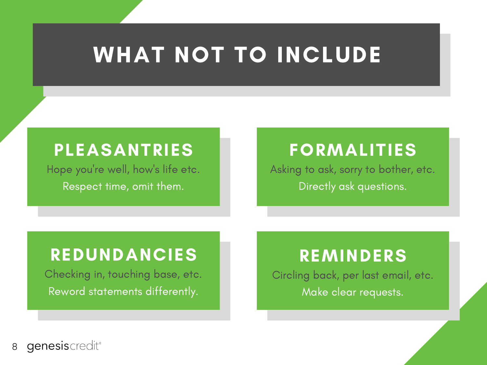## WHAT NOT TO INCLUDE

#### PLEASANTRIES

Hope you ' re well, how ' s life etc. Respect time, omit them.

#### FORMALITIES

Asking to ask, sorry to bother, etc. Directly ask questions.

#### REDUNDANCIES

Checking in, touching base, etc. Reword statements differently.

#### REMINDERS

Circling back, per last email, etc. Make clear requests.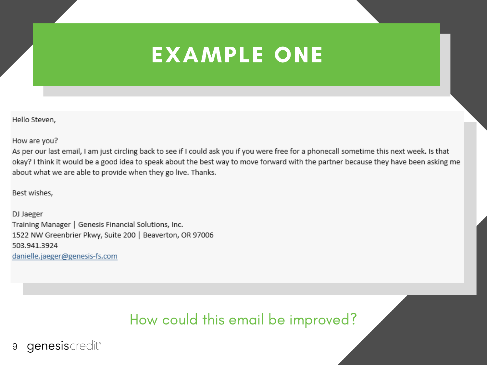### EXAMPLE ONE

Hello Steven,

How are you?

As per our last email, I am just circling back to see if I could ask you if you were free for a phonecall sometime this next week. Is that okay? I think it would be a good idea to speak about the best way to move forward with the partner because they have been asking me about what we are able to provide when they go live. Thanks.

Best wishes,

DJ Jaeger Training Manager | Genesis Financial Solutions, Inc. 1522 NW Greenbrier Pkwy, Suite 200 | Beaverton, OR 97006 503.941.3924 danielle.jaeger@genesis-fs.com

How could this email be improved?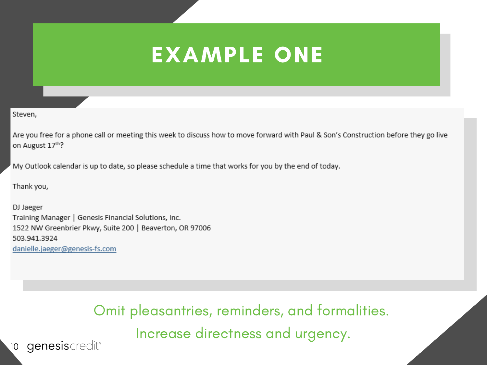### EXAMPLE ONE

Steven,

Are you free for a phone call or meeting this week to discuss how to move forward with Paul & Son's Construction before they go live on August 17th?

My Outlook calendar is up to date, so please schedule a time that works for you by the end of today.

Thank you,

DJ Jaeger Training Manager | Genesis Financial Solutions, Inc. 1522 NW Greenbrier Pkwy, Suite 200 | Beaverton, OR 97006 503.941.3924 danielle.jaeger@genesis-fs.com

> Omit pleasantries, reminders, and formalities. Increase directness and urgency.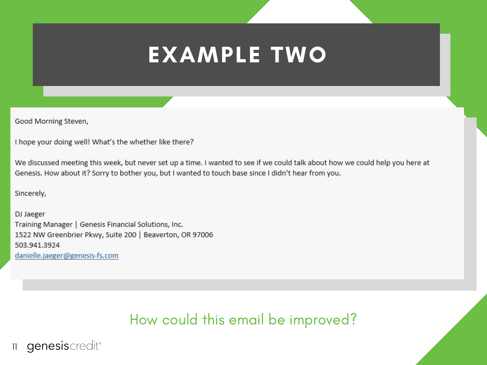### EXAMPLE TWO

Good Morning Steven,

I hope your doing well! What's the whether like there?

We discussed meeting this week, but never set up a time. I wanted to see if we could talk about how we could help you here at Genesis. How about it? Sorry to bother you, but I wanted to touch base since I didn't hear from you.

Sincerely,

DJ Jaeger Training Manager | Genesis Financial Solutions, Inc. 1522 NW Greenbrier Pkwy, Suite 200 | Beaverton, OR 97006 503.941.3924 danielle.jaeger@genesis-fs.com

#### How could this email be improved?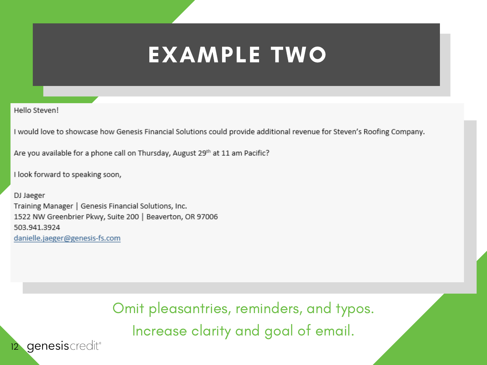### EXAMPLE TWO

Hello Steven!

I would love to showcase how Genesis Financial Solutions could provide additional revenue for Steven's Roofing Company.

Are you available for a phone call on Thursday, August 29th at 11 am Pacific?

I look forward to speaking soon,

DJ Jaeger Training Manager | Genesis Financial Solutions, Inc. 1522 NW Greenbrier Pkwy, Suite 200 | Beaverton, OR 97006 503.941.3924 danielle.jaeger@genesis-fs.com

> Omit pleasantries, reminders, and typos. Increase clarity and goal of email.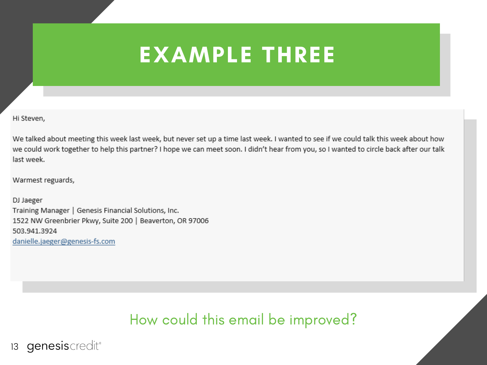### EXAMPLE THREE

Hi Steven,

We talked about meeting this week last week, but never set up a time last week. I wanted to see if we could talk this week about how we could work together to help this partner? I hope we can meet soon. I didn't hear from you, so I wanted to circle back after our talk last week.

Warmest reguards,

DJ Jaeger Training Manager | Genesis Financial Solutions, Inc. 1522 NW Greenbrier Pkwy, Suite 200 | Beaverton, OR 97006 503.941.3924 danielle.jaeger@genesis-fs.com

How could this email be improved?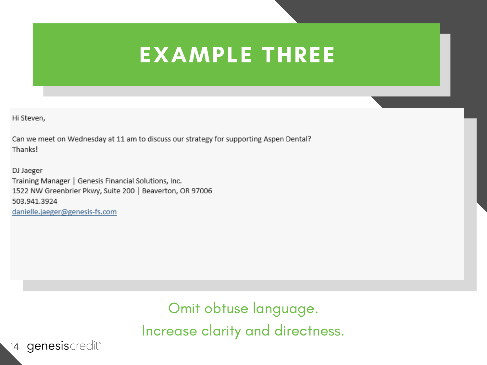### EXAMPLE THREE

Hi Steven,

Can we meet on Wednesday at 11 am to discuss our strategy for supporting Aspen Dental? Thanks!

DJ Jaeger Training Manager | Genesis Financial Solutions, Inc. 1522 NW Greenbrier Pkwy, Suite 200 | Beaverton, OR 97006 503.941.3924 danielle.jaeger@genesis-fs.com

> Omit obtuse language. Increase clarity and directness.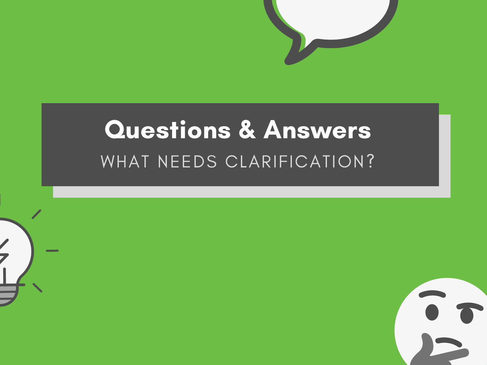

# WHAT NEEDS CLARIFICATION? Questions & Answers

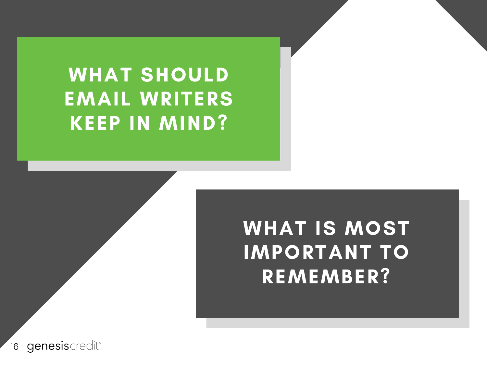### WHAT SHOULD EMAIL WRITERS KEEP IN MIND?

### WHAT IS MOST IMPORTANT TO REMEMBER?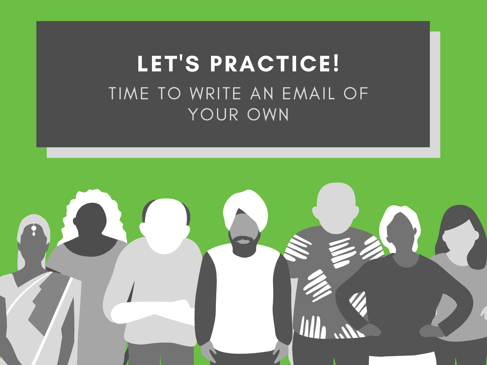### LET'S PRACTICE! TIME TO WRITE AN EMAIL OF YOUR OWN

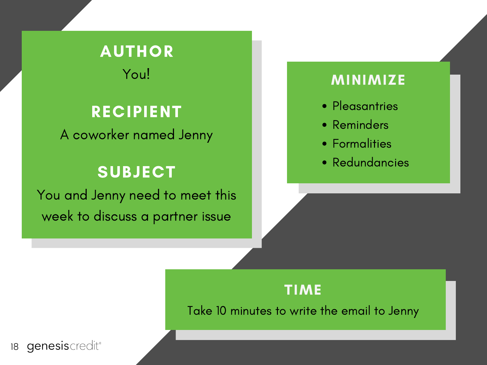### AUTHOR

You!

#### RECIPIENT

A coworker named Jenny

#### SUBJECT

You and Jenny need to meet this week to discuss a partner issue

#### MINIMIZE

- Pleasantries
- Reminders
- Formalities
- Redundancies

#### TIME

Take 10 minutes to write the email to Jenny